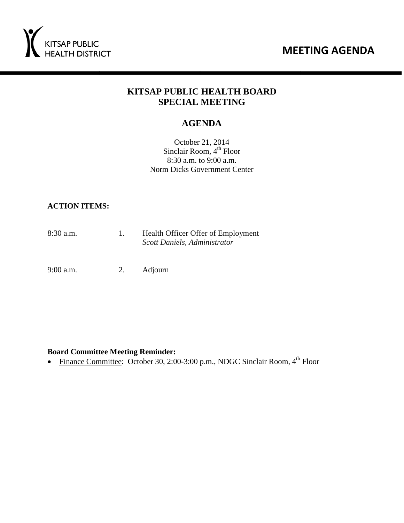



# **KITSAP PUBLIC HEALTH BOARD SPECIAL MEETING**

# **AGENDA**

October 21, 2014 Sinclair Room,  $4<sup>th</sup>$  Floor 8:30 a.m. to 9:00 a.m. Norm Dicks Government Center

#### **ACTION ITEMS:**

8:30 a.m. 1. Health Officer Offer of Employment  *Scott Daniels, Administrator* 

9:00 a.m. 2. Adjourn

#### **Board Committee Meeting Reminder:**

• Finance Committee: October 30, 2:00-3:00 p.m., NDGC Sinclair Room,  $4^{th}$  Floor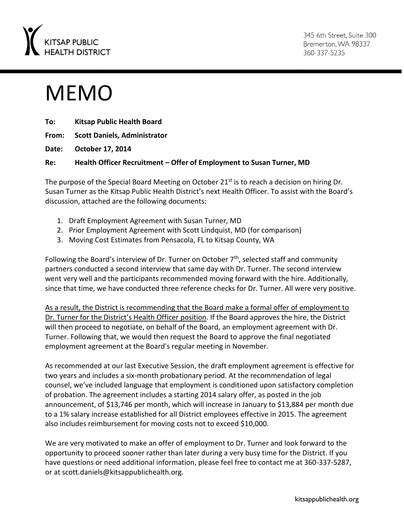

345 6th Street. Suite 300 Bremerton, WA 98337 360-337-5235

# MEMO

| To: | <b>Kitsap Public Health Board</b>                                    |
|-----|----------------------------------------------------------------------|
|     | From: Scott Daniels, Administrator                                   |
|     | Date: October 17, 2014                                               |
| Re: | Health Officer Recruitment – Offer of Employment to Susan Turner, MD |

The purpose of the Special Board Meeting on October 21<sup>st</sup> is to reach a decision on hiring Dr. Susan Turner as the Kitsap Public Health District's next Health Officer. To assist with the Board's discussion, attached are the following documents:

- 1. Draft Employment Agreement with Susan Turner, MD
- 2. Prior Employment Agreement with Scott Lindquist, MD (for comparison)
- 3. Moving Cost Estimates from Pensacola, FL to Kitsap County, WA

Following the Board's interview of Dr. Turner on October  $7<sup>th</sup>$ , selected staff and community partners conducted a second interview that same day with Dr. Turner. The second interview went very well and the participants recommended moving forward with the hire. Additionally, since that time, we have conducted three reference checks for Dr. Turner. All were very positive.

As a result, the District is recommending that the Board make a formal offer of employment to Dr. Turner for the District's Health Officer position. If the Board approves the hire, the District will then proceed to negotiate, on behalf of the Board, an employment agreement with Dr. Turner. Following that, we would then request the Board to approve the final negotiated employment agreement at the Board's regular meeting in November.

As recommended at our last Executive Session, the draft employment agreement is effective for two years and includes a six-month probationary period. At the recommendation of legal counsel, we've included language that employment is conditioned upon satisfactory completion of probation. The agreement includes a starting 2014 salary offer, as posted in the job announcement, of \$13,746 per month, which will increase in January to \$13,884 per month due to a 1% salary increase established for all District employees effective in 2015. The agreement also includes reimbursement for moving costs not to exceed \$10,000.

We are very motivated to make an offer of employment to Dr. Turner and look forward to the opportunity to proceed sooner rather than later during a very busy time for the District. If you have questions or need additional information, please feel free to contact me at 360-337-5287, or at scott.daniels@kitsappublichealth.org.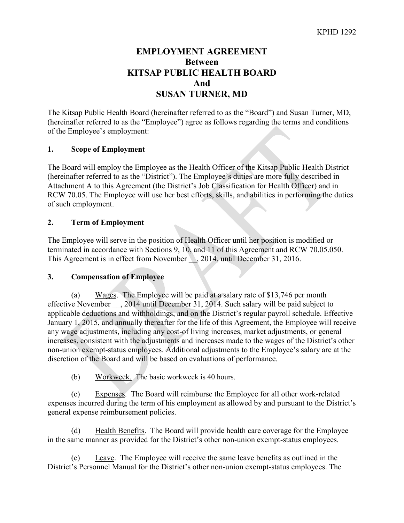# **EMPLOYMENT AGREEMENT Between KITSAP PUBLIC HEALTH BOARD And SUSAN TURNER, MD**

The Kitsap Public Health Board (hereinafter referred to as the "Board") and Susan Turner, MD, (hereinafter referred to as the "Employee") agree as follows regarding the terms and conditions of the Employee's employment:

#### **1. Scope of Employment**

The Board will employ the Employee as the Health Officer of the Kitsap Public Health District (hereinafter referred to as the "District"). The Employee's duties are more fully described in Attachment A to this Agreement (the District's Job Classification for Health Officer) and in RCW 70.05. The Employee will use her best efforts, skills, and abilities in performing the duties of such employment.

#### **2. Term of Employment**

The Employee will serve in the position of Health Officer until her position is modified or terminated in accordance with Sections 9, 10, and 11 of this Agreement and RCW 70.05.050. This Agreement is in effect from November  $\sim$ , 2014, until December 31, 2016.

#### **3. Compensation of Employee**

(a) Wages. The Employee will be paid at a salary rate of \$13,746 per month effective November  $\,$ , 2014 until December 31, 2014. Such salary will be paid subject to applicable deductions and withholdings, and on the District's regular payroll schedule. Effective January 1, 2015, and annually thereafter for the life of this Agreement, the Employee will receive any wage adjustments, including any cost-of living increases, market adjustments, or general increases, consistent with the adjustments and increases made to the wages of the District's other non-union exempt-status employees. Additional adjustments to the Employee's salary are at the discretion of the Board and will be based on evaluations of performance.

(b) Workweek. The basic workweek is 40 hours.

(c) Expenses. The Board will reimburse the Employee for all other work-related expenses incurred during the term of his employment as allowed by and pursuant to the District's general expense reimbursement policies.

(d) Health Benefits. The Board will provide health care coverage for the Employee in the same manner as provided for the District's other non-union exempt-status employees.

Leave. The Employee will receive the same leave benefits as outlined in the District's Personnel Manual for the District's other non-union exempt-status employees. The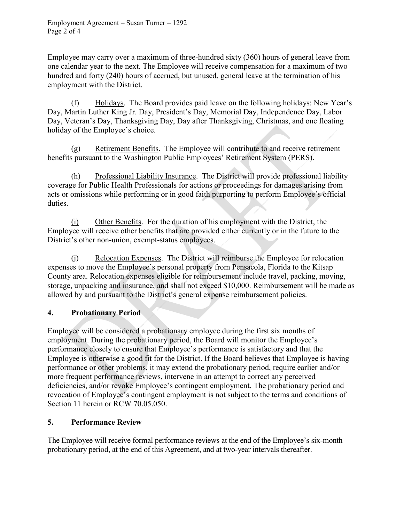Employee may carry over a maximum of three-hundred sixty (360) hours of general leave from one calendar year to the next. The Employee will receive compensation for a maximum of two hundred and forty (240) hours of accrued, but unused, general leave at the termination of his employment with the District.

(f) Holidays. The Board provides paid leave on the following holidays: New Year's Day, Martin Luther King Jr. Day, President's Day, Memorial Day, Independence Day, Labor Day, Veteran's Day, Thanksgiving Day, Day after Thanksgiving, Christmas, and one floating holiday of the Employee's choice.

(g) Retirement Benefits. The Employee will contribute to and receive retirement benefits pursuant to the Washington Public Employees' Retirement System (PERS).

(h) Professional Liability Insurance. The District will provide professional liability coverage for Public Health Professionals for actions or proceedings for damages arising from acts or omissions while performing or in good faith purporting to perform Employee's official duties.

(i) Other Benefits. For the duration of his employment with the District, the Employee will receive other benefits that are provided either currently or in the future to the District's other non-union, exempt-status employees.

(j) Relocation Expenses. The District will reimburse the Employee for relocation expenses to move the Employee's personal property from Pensacola, Florida to the Kitsap County area. Relocation expenses eligible for reimbursement include travel, packing, moving, storage, unpacking and insurance, and shall not exceed \$10,000. Reimbursement will be made as allowed by and pursuant to the District's general expense reimbursement policies.

# **4. Probationary Period**

Employee will be considered a probationary employee during the first six months of employment. During the probationary period, the Board will monitor the Employee's performance closely to ensure that Employee's performance is satisfactory and that the Employee is otherwise a good fit for the District. If the Board believes that Employee is having performance or other problems, it may extend the probationary period, require earlier and/or more frequent performance reviews, intervene in an attempt to correct any perceived deficiencies, and/or revoke Employee's contingent employment. The probationary period and revocation of Employee's contingent employment is not subject to the terms and conditions of Section 11 herein or RCW 70.05.050.

# **5. Performance Review**

The Employee will receive formal performance reviews at the end of the Employee's six-month probationary period, at the end of this Agreement, and at two-year intervals thereafter.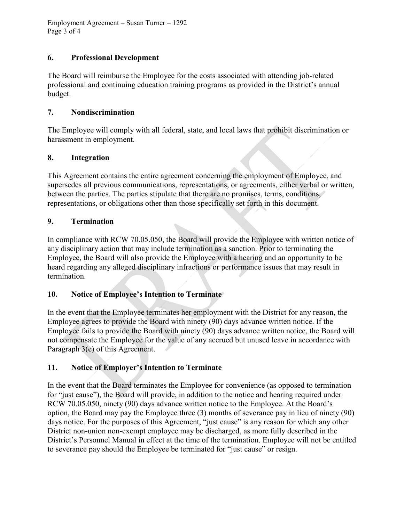Employment Agreement – Susan Turner – 1292 Page 3 of 4

#### **6. Professional Development**

The Board will reimburse the Employee for the costs associated with attending job-related professional and continuing education training programs as provided in the District's annual budget.

#### **7. Nondiscrimination**

The Employee will comply with all federal, state, and local laws that prohibit discrimination or harassment in employment.

#### **8. Integration**

This Agreement contains the entire agreement concerning the employment of Employee, and supersedes all previous communications, representations, or agreements, either verbal or written, between the parties. The parties stipulate that there are no promises, terms, conditions, representations, or obligations other than those specifically set forth in this document.

#### **9. Termination**

In compliance with RCW 70.05.050, the Board will provide the Employee with written notice of any disciplinary action that may include termination as a sanction. Prior to terminating the Employee, the Board will also provide the Employee with a hearing and an opportunity to be heard regarding any alleged disciplinary infractions or performance issues that may result in termination.

## **10. Notice of Employee's Intention to Terminate**

In the event that the Employee terminates her employment with the District for any reason, the Employee agrees to provide the Board with ninety (90) days advance written notice. If the Employee fails to provide the Board with ninety (90) days advance written notice, the Board will not compensate the Employee for the value of any accrued but unused leave in accordance with Paragraph 3(e) of this Agreement.

## **11. Notice of Employer's Intention to Terminate**

In the event that the Board terminates the Employee for convenience (as opposed to termination for "just cause"), the Board will provide, in addition to the notice and hearing required under RCW 70.05.050, ninety (90) days advance written notice to the Employee. At the Board's option, the Board may pay the Employee three (3) months of severance pay in lieu of ninety (90) days notice. For the purposes of this Agreement, "just cause" is any reason for which any other District non-union non-exempt employee may be discharged, as more fully described in the District's Personnel Manual in effect at the time of the termination. Employee will not be entitled to severance pay should the Employee be terminated for "just cause" or resign.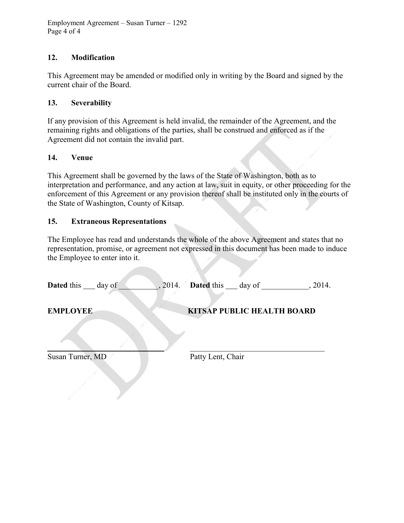Employment Agreement – Susan Turner – 1292 Page 4 of 4

#### **12. Modification**

This Agreement may be amended or modified only in writing by the Board and signed by the current chair of the Board.

#### **13. Severability**

If any provision of this Agreement is held invalid, the remainder of the Agreement, and the remaining rights and obligations of the parties, shall be construed and enforced as if the Agreement did not contain the invalid part.

#### **14. Venue**

This Agreement shall be governed by the laws of the State of Washington, both as to interpretation and performance, and any action at law, suit in equity, or other proceeding for the enforcement of this Agreement or any provision thereof shall be instituted only in the courts of the State of Washington, County of Kitsap.

#### **15. Extraneous Representations**

The Employee has read and understands the whole of the above Agreement and states that no representation, promise, or agreement not expressed in this document has been made to induce the Employee to enter into it.

| <b>Dated this ___ day of</b><br>, 2014. | <b>Dated this ___ day of</b><br>, 2014. |
|-----------------------------------------|-----------------------------------------|
| <b>EMPLOYEE</b>                         | <b>KITSAP PUBLIC HEALTH BOARD</b>       |
|                                         |                                         |
| Susan Turner, MD                        | Patty Lent, Chair                       |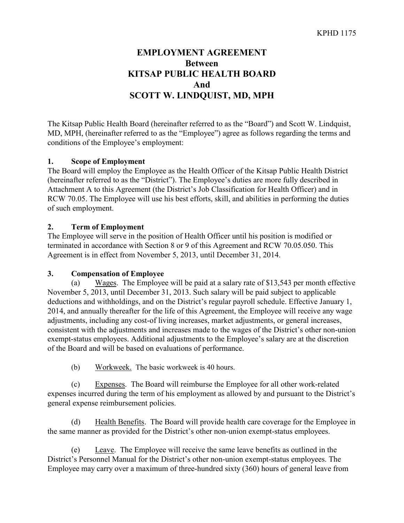# **EMPLOYMENT AGREEMENT Between KITSAP PUBLIC HEALTH BOARD And SCOTT W. LINDQUIST, MD, MPH**

The Kitsap Public Health Board (hereinafter referred to as the "Board") and Scott W. Lindquist, MD, MPH, (hereinafter referred to as the "Employee") agree as follows regarding the terms and conditions of the Employee's employment:

#### **1. Scope of Employment**

The Board will employ the Employee as the Health Officer of the Kitsap Public Health District (hereinafter referred to as the "District"). The Employee's duties are more fully described in Attachment A to this Agreement (the District's Job Classification for Health Officer) and in RCW 70.05. The Employee will use his best efforts, skill, and abilities in performing the duties of such employment.

#### **2. Term of Employment**

The Employee will serve in the position of Health Officer until his position is modified or terminated in accordance with Section 8 or 9 of this Agreement and RCW 70.05.050. This Agreement is in effect from November 5, 2013, until December 31, 2014.

#### **3. Compensation of Employee**

(a) Wages. The Employee will be paid at a salary rate of \$13,543 per month effective November 5, 2013, until December 31, 2013. Such salary will be paid subject to applicable deductions and withholdings, and on the District's regular payroll schedule. Effective January 1, 2014, and annually thereafter for the life of this Agreement, the Employee will receive any wage adjustments, including any cost-of living increases, market adjustments, or general increases, consistent with the adjustments and increases made to the wages of the District's other non-union exempt-status employees. Additional adjustments to the Employee's salary are at the discretion of the Board and will be based on evaluations of performance.

(b) Workweek. The basic workweek is 40 hours.

(c) Expenses. The Board will reimburse the Employee for all other work-related expenses incurred during the term of his employment as allowed by and pursuant to the District's general expense reimbursement policies.

(d) Health Benefits. The Board will provide health care coverage for the Employee in the same manner as provided for the District's other non-union exempt-status employees.

(e) Leave. The Employee will receive the same leave benefits as outlined in the District's Personnel Manual for the District's other non-union exempt-status employees. The Employee may carry over a maximum of three-hundred sixty (360) hours of general leave from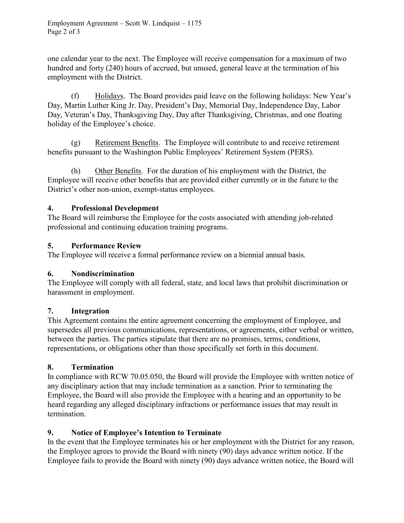one calendar year to the next. The Employee will receive compensation for a maximum of two hundred and forty (240) hours of accrued, but unused, general leave at the termination of his employment with the District.

(f) Holidays. The Board provides paid leave on the following holidays: New Year's Day, Martin Luther King Jr. Day, President's Day, Memorial Day, Independence Day, Labor Day, Veteran's Day, Thanksgiving Day, Day after Thanksgiving, Christmas, and one floating holiday of the Employee's choice.

(g) Retirement Benefits. The Employee will contribute to and receive retirement benefits pursuant to the Washington Public Employees' Retirement System (PERS).

(h) Other Benefits. For the duration of his employment with the District, the Employee will receive other benefits that are provided either currently or in the future to the District's other non-union, exempt-status employees.

#### **4. Professional Development**

The Board will reimburse the Employee for the costs associated with attending job-related professional and continuing education training programs.

#### **5. Performance Review**

The Employee will receive a formal performance review on a biennial annual basis.

## **6. Nondiscrimination**

The Employee will comply with all federal, state, and local laws that prohibit discrimination or harassment in employment.

## **7. Integration**

This Agreement contains the entire agreement concerning the employment of Employee, and supersedes all previous communications, representations, or agreements, either verbal or written, between the parties. The parties stipulate that there are no promises, terms, conditions, representations, or obligations other than those specifically set forth in this document.

## **8. Termination**

In compliance with RCW 70.05.050, the Board will provide the Employee with written notice of any disciplinary action that may include termination as a sanction. Prior to terminating the Employee, the Board will also provide the Employee with a hearing and an opportunity to be heard regarding any alleged disciplinary infractions or performance issues that may result in termination.

## **9. Notice of Employee's Intention to Terminate**

In the event that the Employee terminates his or her employment with the District for any reason, the Employee agrees to provide the Board with ninety (90) days advance written notice. If the Employee fails to provide the Board with ninety (90) days advance written notice, the Board will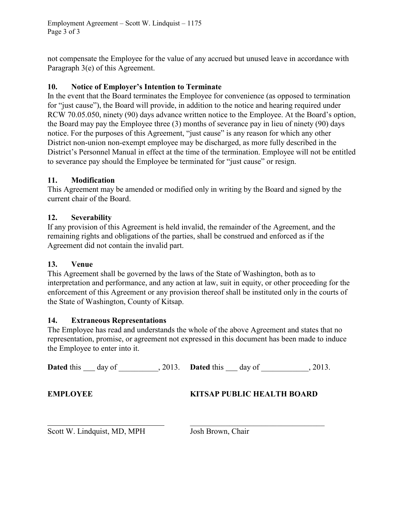Employment Agreement – Scott W. Lindquist – 1175 Page 3 of 3

not compensate the Employee for the value of any accrued but unused leave in accordance with Paragraph 3(e) of this Agreement.

#### **10. Notice of Employer's Intention to Terminate**

In the event that the Board terminates the Employee for convenience (as opposed to termination for "just cause"), the Board will provide, in addition to the notice and hearing required under RCW 70.05.050, ninety (90) days advance written notice to the Employee. At the Board's option, the Board may pay the Employee three (3) months of severance pay in lieu of ninety (90) days notice. For the purposes of this Agreement, "just cause" is any reason for which any other District non-union non-exempt employee may be discharged, as more fully described in the District's Personnel Manual in effect at the time of the termination. Employee will not be entitled to severance pay should the Employee be terminated for "just cause" or resign.

#### **11. Modification**

This Agreement may be amended or modified only in writing by the Board and signed by the current chair of the Board.

## **12. Severability**

If any provision of this Agreement is held invalid, the remainder of the Agreement, and the remaining rights and obligations of the parties, shall be construed and enforced as if the Agreement did not contain the invalid part.

#### **13. Venue**

This Agreement shall be governed by the laws of the State of Washington, both as to interpretation and performance, and any action at law, suit in equity, or other proceeding for the enforcement of this Agreement or any provision thereof shall be instituted only in the courts of the State of Washington, County of Kitsap.

#### **14. Extraneous Representations**

The Employee has read and understands the whole of the above Agreement and states that no representation, promise, or agreement not expressed in this document has been made to induce the Employee to enter into it.

|                 | <b>Dated</b> this day of 2013. <b>Dated</b> this day of |  |                                   | .2013. |
|-----------------|---------------------------------------------------------|--|-----------------------------------|--------|
| <b>EMPLOYEE</b> |                                                         |  | <b>KITSAP PUBLIC HEALTH BOARD</b> |        |
|                 |                                                         |  |                                   |        |

Scott W. Lindquist, MD, MPH Josh Brown, Chair